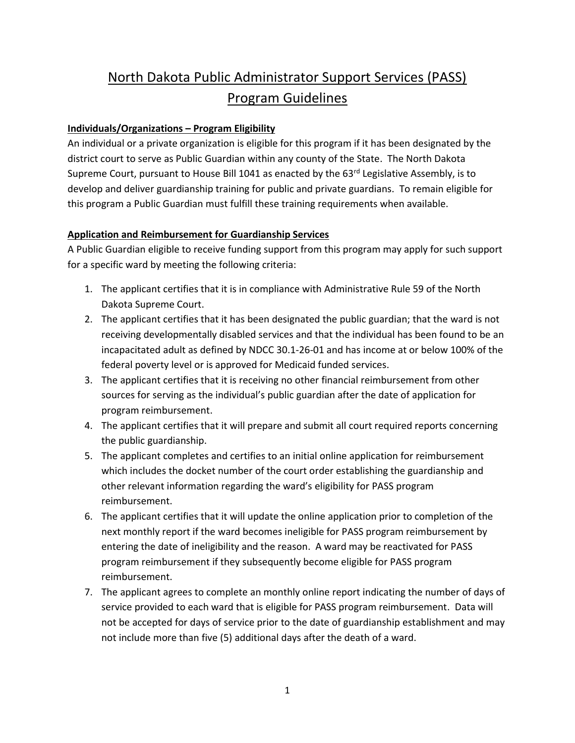# North Dakota Public Administrator Support Services (PASS) Program Guidelines

#### **Individuals/Organizations – Program Eligibility**

An individual or a private organization is eligible for this program if it has been designated by the district court to serve as Public Guardian within any county of the State. The North Dakota Supreme Court, pursuant to House Bill 1041 as enacted by the 63<sup>rd</sup> Legislative Assembly, is to develop and deliver guardianship training for public and private guardians. To remain eligible for this program a Public Guardian must fulfill these training requirements when available.

### **Application and Reimbursement for Guardianship Services**

A Public Guardian eligible to receive funding support from this program may apply for such support for a specific ward by meeting the following criteria:

- 1. The applicant certifies that it is in compliance with Administrative Rule 59 of the North Dakota Supreme Court.
- 2. The applicant certifies that it has been designated the public guardian; that the ward is not receiving developmentally disabled services and that the individual has been found to be an incapacitated adult as defined by NDCC 30.1-26-01 and has income at or below 100% of the federal poverty level or is approved for Medicaid funded services.
- 3. The applicant certifies that it is receiving no other financial reimbursement from other sources for serving as the individual's public guardian after the date of application for program reimbursement.
- 4. The applicant certifies that it will prepare and submit all court required reports concerning the public guardianship.
- 5. The applicant completes and certifies to an initial online application for reimbursement which includes the docket number of the court order establishing the guardianship and other relevant information regarding the ward's eligibility for PASS program reimbursement.
- 6. The applicant certifies that it will update the online application prior to completion of the next monthly report if the ward becomes ineligible for PASS program reimbursement by entering the date of ineligibility and the reason. A ward may be reactivated for PASS program reimbursement if they subsequently become eligible for PASS program reimbursement.
- 7. The applicant agrees to complete an monthly online report indicating the number of days of service provided to each ward that is eligible for PASS program reimbursement. Data will not be accepted for days of service prior to the date of guardianship establishment and may not include more than five (5) additional days after the death of a ward.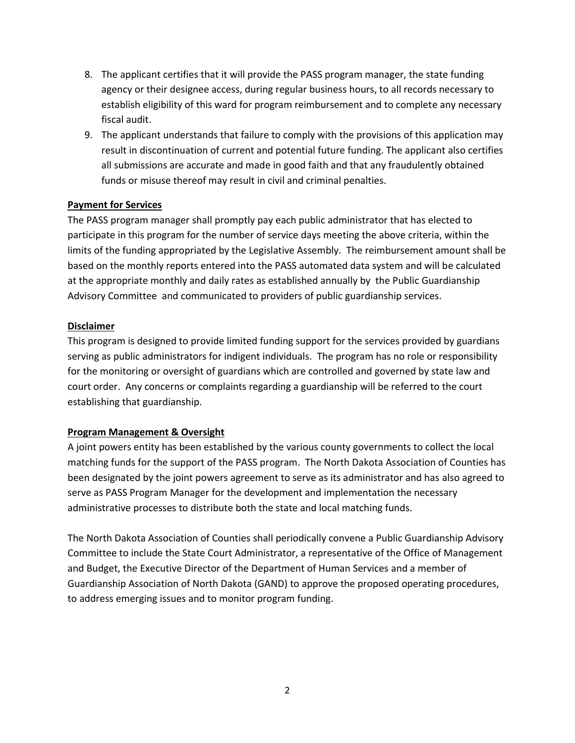- 8. The applicant certifies that it will provide the PASS program manager, the state funding agency or their designee access, during regular business hours, to all records necessary to establish eligibility of this ward for program reimbursement and to complete any necessary fiscal audit.
- 9. The applicant understands that failure to comply with the provisions of this application may result in discontinuation of current and potential future funding. The applicant also certifies all submissions are accurate and made in good faith and that any fraudulently obtained funds or misuse thereof may result in civil and criminal penalties.

#### **Payment for Services**

The PASS program manager shall promptly pay each public administrator that has elected to participate in this program for the number of service days meeting the above criteria, within the limits of the funding appropriated by the Legislative Assembly. The reimbursement amount shall be based on the monthly reports entered into the PASS automated data system and will be calculated at the appropriate monthly and daily rates as established annually by the Public Guardianship Advisory Committee and communicated to providers of public guardianship services.

#### **Disclaimer**

This program is designed to provide limited funding support for the services provided by guardians serving as public administrators for indigent individuals. The program has no role or responsibility for the monitoring or oversight of guardians which are controlled and governed by state law and court order. Any concerns or complaints regarding a guardianship will be referred to the court establishing that guardianship.

#### **Program Management & Oversight**

A joint powers entity has been established by the various county governments to collect the local matching funds for the support of the PASS program. The North Dakota Association of Counties has been designated by the joint powers agreement to serve as its administrator and has also agreed to serve as PASS Program Manager for the development and implementation the necessary administrative processes to distribute both the state and local matching funds.

The North Dakota Association of Counties shall periodically convene a Public Guardianship Advisory Committee to include the State Court Administrator, a representative of the Office of Management and Budget, the Executive Director of the Department of Human Services and a member of Guardianship Association of North Dakota (GAND) to approve the proposed operating procedures, to address emerging issues and to monitor program funding.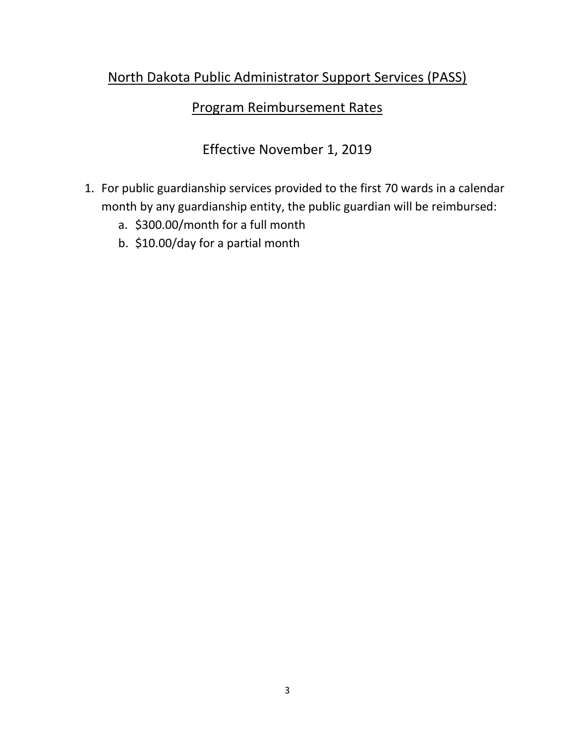# North Dakota Public Administrator Support Services (PASS)

# Program Reimbursement Rates

# Effective November 1, 2019

- 1. For public guardianship services provided to the first 70 wards in a calendar month by any guardianship entity, the public guardian will be reimbursed:
	- a. \$300.00/month for a full month
	- b. \$10.00/day for a partial month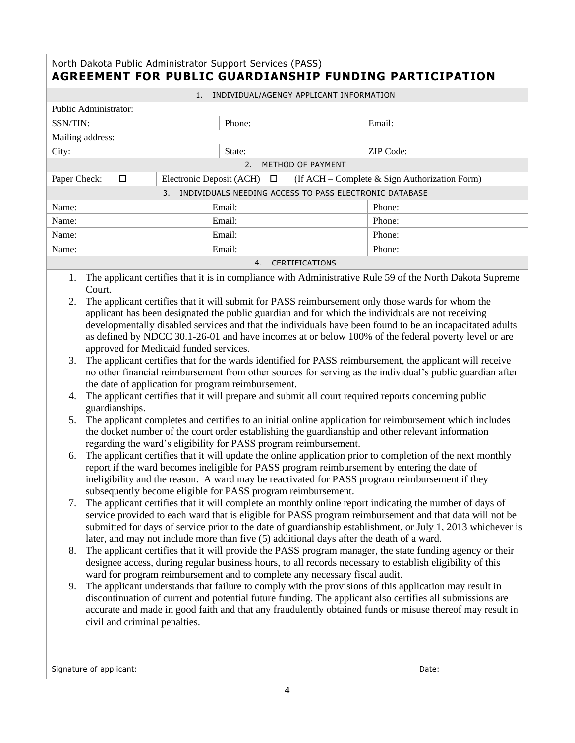### North Dakota Public Administrator Support Services (PASS) **AGREEMENT FOR PUBLIC GUARDIANSHIP FUNDING PARTICIPATION**

| INDIVIDUAL/AGENGY APPLICANT INFORMATION                      |  |        |                                                                               |  |
|--------------------------------------------------------------|--|--------|-------------------------------------------------------------------------------|--|
| Public Administrator:                                        |  |        |                                                                               |  |
| SSN/TIN:                                                     |  | Phone: | Email:                                                                        |  |
| Mailing address:                                             |  |        |                                                                               |  |
| City:                                                        |  | State: | ZIP Code:                                                                     |  |
| METHOD OF PAYMENT<br>2.5                                     |  |        |                                                                               |  |
| Paper Check:<br>□                                            |  |        | Electronic Deposit (ACH) $\Box$ (If ACH – Complete & Sign Authorization Form) |  |
| INDIVIDUALS NEEDING ACCESS TO PASS ELECTRONIC DATABASE<br>3. |  |        |                                                                               |  |
| Name:                                                        |  | Email: | Phone:                                                                        |  |
| Name:                                                        |  | Email: | Phone:                                                                        |  |
| Name:                                                        |  | Email: | Phone:                                                                        |  |
| Name:                                                        |  | Email: | Phone:                                                                        |  |
| <b>CERTIFICATIONS</b><br>4.                                  |  |        |                                                                               |  |

1. The applicant certifies that it is in compliance with Administrative Rule 59 of the North Dakota Supreme Court.

- 2. The applicant certifies that it will submit for PASS reimbursement only those wards for whom the applicant has been designated the public guardian and for which the individuals are not receiving developmentally disabled services and that the individuals have been found to be an incapacitated adults as defined by NDCC 30.1-26-01 and have incomes at or below 100% of the federal poverty level or are approved for Medicaid funded services.
- 3. The applicant certifies that for the wards identified for PASS reimbursement, the applicant will receive no other financial reimbursement from other sources for serving as the individual's public guardian after the date of application for program reimbursement.
- 4. The applicant certifies that it will prepare and submit all court required reports concerning public guardianships.
- 5. The applicant completes and certifies to an initial online application for reimbursement which includes the docket number of the court order establishing the guardianship and other relevant information regarding the ward's eligibility for PASS program reimbursement.
- 6. The applicant certifies that it will update the online application prior to completion of the next monthly report if the ward becomes ineligible for PASS program reimbursement by entering the date of ineligibility and the reason. A ward may be reactivated for PASS program reimbursement if they subsequently become eligible for PASS program reimbursement.
- 7. The applicant certifies that it will complete an monthly online report indicating the number of days of service provided to each ward that is eligible for PASS program reimbursement and that data will not be submitted for days of service prior to the date of guardianship establishment, or July 1, 2013 whichever is later, and may not include more than five (5) additional days after the death of a ward.
- 8. The applicant certifies that it will provide the PASS program manager, the state funding agency or their designee access, during regular business hours, to all records necessary to establish eligibility of this ward for program reimbursement and to complete any necessary fiscal audit.
- 9. The applicant understands that failure to comply with the provisions of this application may result in discontinuation of current and potential future funding. The applicant also certifies all submissions are accurate and made in good faith and that any fraudulently obtained funds or misuse thereof may result in civil and criminal penalties.

Signature of applicant: Date: Date: Date: Date: Date: Date: Date: Date: Date: Date: Date: Date: Date: Date: Date: Date: Date: Date: Date: Date: Date: Date: Date: Date: Date: Date: Date: Date: Date: Date: Date: Date: Date: